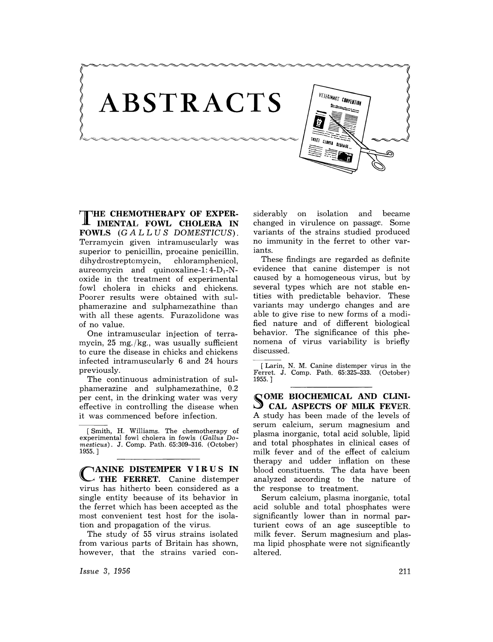## **ABSTRACTS**

siderably on isolation and became changed in virulence on passage. Some variants of the strains studied produced no immunity in the ferret to other variants.

VETERINARY CONVENTION ===

SWEET CLAVER DISEASE.

These findings are regarded as definite evidence that canine distemper is not caused by a homogeneous virus, but by several types which are not stable entities with predictable behavior. These variants may undergo changes and are able to give rise to new forms of a modified nature and of different biological behavior. The significance of this phenomena of virus variability is briefly discussed.

[Larin, N. M. Canine distemper virus in the Ferret. J. Comp. Path. 65:325-333. (October) 1955.]

~ **OME BIOCHEMICAL AND CLINI- ..:J CAL ASPECTS OF MILK FEVER.**  A study has been made of the levels of serum calcium, serum magnesium and plasma inorganic, total acid soluble, lipid and total phosphates in clinical cases of milk fever and of the effect of calcium therapy and udder inflation on these blood constituents. The data have been analyzed according to the nature of the response to treatment.

Serum calcium, plasma inorganic, total acid soluble and total phosphates were significantly lower than in normal parturient cows of an age susceptible to milk fever. Serum magnesium and plasma lipid phosphate were not significantly altered.

THE **CHEMOTHERAPY OF EXPER-IMENTAL FOWL CHOLERA IN FOWLS** (G *ALL U S DOMESTICUS).*  Terramycin given intramuscularly was superior to penicillin, procaine penicillin, dihydrostreptomycin, chloramphenicol, dihydrostreptomycin, aureomycin and quinoxaline-1: $4-D_1-N$ oxide in the treatment of experimental fowl cholera in chicks and chickens. Poorer results were obtained with sulphamerazine and sulphamezathine than with all these agents. Furazolidone was of no value.

One intramuscular injection of terramycin,  $25 \text{ mg./kg.}$ , was usually sufficient to cure the disease in chicks and chickens infected intramuscularly 6 and 24 hours previously.

The continuous administration of sulphamerazine and sulphamezathine, 0.2 per cent, in the drinking water was very effective in controlling the disease when it was commenced before infection.

[Smith, H. Williams. The chemotherapy of experimental fowl cholera in fowls *(Gallus Domesticus*). J. Comp. Path. 65:309-316. (October) 1955. ]

C ANINE **DISTEMPER VIR US IN**  . **THE FERRET.** Canine distemper virus has hitherto been considered as a single entity because of its behavior in the ferret which has been accepted as the most convenient test host for the isolation and propagation of the virus.

The study of 55 virus strains isolated from various parts of Britain has shown, however, that the strains varied con-

*Issue* 3, 1956